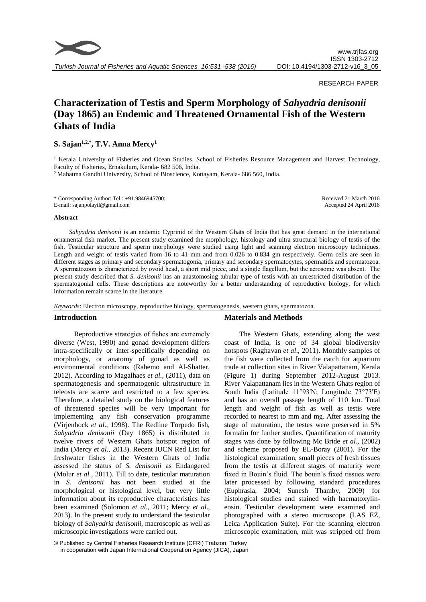

#### RESEARCH PAPER

# **Characterization of Testis and Sperm Morphology of** *Sahyadria denisonii* **(Day 1865) an Endemic and Threatened Ornamental Fish of the Western Ghats of India**

# **S. Sajan1,2,\* , T.V. Anna Mercy<sup>1</sup>**

<sup>1</sup> Kerala University of Fisheries and Ocean Studies, School of Fisheries Resource Management and Harvest Technology, Faculty of Fisheries, Ernakulum, Kerala- 682 506, India.

<sup>2</sup> Mahatma Gandhi University, School of Bioscience, Kottayam, Kerala- 686 560, India.

#### **Abstract**

*Sahyadria denisonii* is an endemic Cyprinid of the Western Ghats of India that has great demand in the international ornamental fish market. The present study examined the morphology, histology and ultra structural biology of testis of the fish. Testicular structure and sperm morphology were studied using light and scanning electron microscopy techniques. Length and weight of testis varied from 16 to 41 mm and from 0.026 to 0.834 gm respectively. Germ cells are seen in different stages as primary and secondary spermatogonia, primary and secondary spermatocytes, spermatids and spermatozoa. A spermatozoon is characterized by ovoid head, a short mid piece, and a single flagellum, but the acrosome was absent. The present study described that *S. denisonii* has an anastomosing tubular type of testis with an unrestricted distribution of the spermatogonial cells. These descriptions are noteworthy for a better understanding of reproductive biology, for which information remain scarce in the literature.

*Keywords*: Electron microscopy, reproductive biology, spermatogenesis, western ghats, spermatozoa.

## **Introduction**

Reproductive strategies of fishes are extremely diverse (West, 1990) and gonad development differs intra-specifically or inter-specifically depending on morphology, or anatomy of gonad as well as environmental conditions (Rahemo and Al-Shatter, 2012). According to Magalhaes *et al.,* (2011), data on spermatogenesis and spermatogenic ultrastructure in teleosts are scarce and restricted to a few species. Therefore, a detailed study on the biological features of threatened species will be very important for implementing any fish conservation programme (Virjenhock *et al*., 1998). The Redline Torpedo fish, *Sahyadria denisonii* (Day 1865) is distributed in twelve rivers of Western Ghats hotspot region of India (Mercy *et al*., 2013). Recent IUCN Red List for freshwater fishes in the Western Ghats of India assessed the status of *S. denisonii* as Endangered (Molur *et al.,* 2011). Till to date, testicular maturation in *S. denisonii* has not been studied at the morphological or histological level, but very little information about its reproductive characteristics has been examined (Solomon *et al*., 2011; Mercy *et al*., 2013). In the present study to understand the testicular biology of *Sahyadria denisonii*, macroscopic as well as microscopic investigations were carried out.

## **Materials and Methods**

The Western Ghats, extending along the west coast of India, is one of 34 global biodiversity hotspots (Raghavan *et al*., 2011). Monthly samples of the fish were collected from the catch for aquarium trade at collection sites in River Valapattanam, Kerala (Figure 1) during September 2012-August 2013. River Valapattanam lies in the Western Ghats region of South India (Latitude 11°93'N; Longitude 73°73'E) and has an overall passage length of 110 km. Total length and weight of fish as well as testis were recorded to nearest to mm and mg. After assessing the stage of maturation, the testes were preserved in 5% formalin for further studies. Quantification of maturity stages was done by following Mc Bride *et al.,* (2002) and scheme proposed by EL-Boray (2001). For the histological examination, small pieces of fresh tissues from the testis at different stages of maturity were fixed in Bouin's fluid. The bouin's fixed tissues were later processed by following standard procedures (Euphrasia, 2004; Sunesh Thamby, 2009) for histological studies and stained with haematoxylineosin. Testicular development were examined and photographed with a stereo microscope (LAS EZ, Leica Application Suite). For the scanning electron microscopic examination, milt was stripped off from

<sup>©</sup> Published by Central Fisheries Research Institute (CFRI) Trabzon, Turkey in cooperation with Japan International Cooperation Agency (JICA), Japan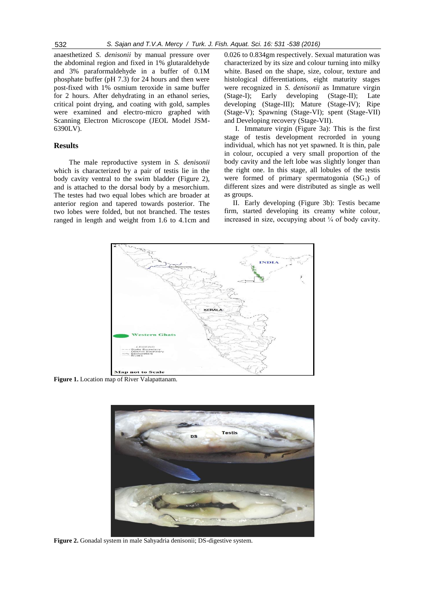anaesthetized *S. denisonii* by manual pressure over the abdominal region and fixed in 1% glutaraldehyde and 3% paraformaldehyde in a buffer of 0.1M phosphate buffer (pH 7.3) for 24 hours and then were post-fixed with 1% osmium teroxide in same buffer for 2 hours. After dehydrating in an ethanol series, critical point drying, and coating with gold, samples were examined and electro-micro graphed with Scanning Electron Microscope (JEOL Model JSM-6390LV).

### **Results**

The male reproductive system in *S. denisonii*  which is characterized by a pair of testis lie in the body cavity ventral to the swim bladder (Figure 2), and is attached to the dorsal body by a mesorchium. The testes had two equal lobes which are broader at anterior region and tapered towards posterior. The two lobes were folded, but not branched. The testes ranged in length and weight from 1.6 to 4.1cm and

0.026 to 0.834gm respectively. Sexual maturation was characterized by its size and colour turning into milky white. Based on the shape, size, colour, texture and histological differentiations, eight maturity stages were recognized in *S. denisonii* as Immature virgin (Stage-I); Early developing (Stage-II); Late developing (Stage-III); Mature (Stage-IV); Ripe (Stage-V); Spawning (Stage-VI); spent (Stage-VII) and Developing recovery (Stage-VII).

I. Immature virgin (Figure 3a): This is the first stage of testis development recrorded in young individual, which has not yet spawned. It is thin, pale in colour, occupied a very small proportion of the body cavity and the left lobe was slightly longer than the right one. In this stage, all lobules of the testis were formed of primary spermatogonia  $(SG_1)$  of different sizes and were distributed as single as well as groups.

II. Early developing (Figure 3b): Testis became firm, started developing its creamy white colour, increased in size, occupying about  $\frac{1}{4}$  of body cavity.



**Figure 1.** Location map of River Valapattanam.



**Figure 2.** Gonadal system in male Sahyadria denisonii; DS-digestive system.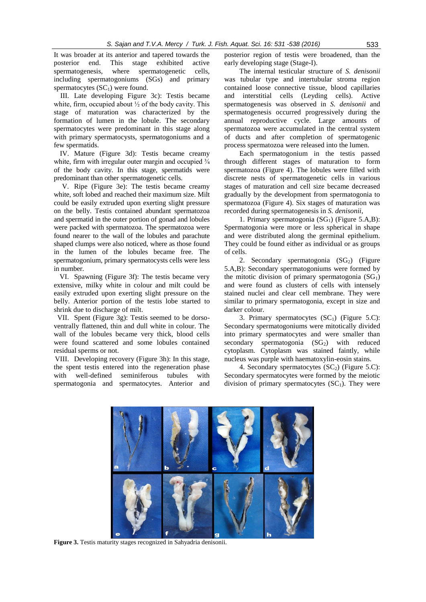It was broader at its anterior and tapered towards the posterior end. This stage exhibited active spermatogenesis, where spermatogenetic cells, including spermatogoniums (SGs) and primary spermatocytes  $(SC_1)$  were found.

III. Late developing Figure 3c): Testis became white, firm, occupied about  $\frac{1}{2}$  of the body cavity. This stage of maturation was characterized by the formation of lumen in the lobule. The secondary spermatocytes were predominant in this stage along with primary spermatocysts, spermatogoniums and a few spermatids.

IV. Mature (Figure 3d): Testis became creamy white, firm with irregular outer margin and occupied  $\frac{3}{4}$ of the body cavity. In this stage, spermatids were predominant than other spermatogenetic cells.

V. Ripe (Figure 3e): The testis became creamy white, soft lobed and reached their maximum size. Milt could be easily extruded upon exerting slight pressure on the belly. Testis contained abundant spermatozoa and spermatid in the outer portion of gonad and lobules were packed with spermatozoa. The spermatozoa were found nearer to the wall of the lobules and parachute shaped clumps were also noticed, where as those found in the lumen of the lobules became free. The spermatogonium, primary spermatocysts cells were less in number.

VI. Spawning (Figure 3f): The testis became very extensive, milky white in colour and milt could be easily extruded upon exerting slight pressure on the belly. Anterior portion of the testis lobe started to shrink due to discharge of milt.

VII. Spent (Figure 3g): Testis seemed to be dorsoventrally flattened, thin and dull white in colour. The wall of the lobules became very thick, blood cells were found scattered and some lobules contained residual sperms or not.

VIII. Developing recovery (Figure 3h): In this stage, the spent testis entered into the regeneration phase with well-defined seminiferous tubules with spermatogonia and spermatocytes. Anterior and

posterior region of testis were broadened, than the early developing stage (Stage-I).

The internal testicular structure of *S. denisonii*  was tubular type and intertubular stroma region contained loose connective tissue, blood capillaries and interstitial cells (Leyding cells). Active spermatogenesis was observed in *S. denisonii* and spermatogenesis occurred progressively during the annual reproductive cycle. Large amounts of spermatozoa were accumulated in the central system of ducts and after completion of spermatogenic process spermatozoa were released into the lumen.

Each spermatogonium in the testis passed through different stages of maturation to form spermatozoa (Figure 4). The lobules were filled with discrete nests of spermatogenetic cells in various stages of maturation and cell size became decreased gradually by the development from spermatogonia to spermatozoa (Figure 4). Six stages of maturation was recorded during spermatogenesis in *S. denisonii*,

1. Primary spermatogonia (SG1) (Figure 5.A,B): Spermatogonia were more or less spherical in shape and were distributed along the germinal epithelium. They could be found either as individual or as groups of cells.

2. Secondary spermatogonia  $(SG_2)$  (Figure 5.A,B): Secondary spermatogoniums were formed by the mitotic division of primary spermatogonia  $(SG<sub>1</sub>)$ and were found as clusters of cells with intensely stained nuclei and clear cell membrane. They were similar to primary spermatogonia, except in size and darker colour.

3. Primary spermatocytes  $(SC_1)$  (Figure 5.C): Secondary spermatogoniums were mitotically divided into primary spermatocytes and were smaller than secondary spermatogonia  $(SG_2)$  with reduced cytoplasm. Cytoplasm was stained faintly, while nucleus was purple with haematoxylin-eosin stains.

4. Secondary spermatocytes  $(SC_2)$  (Figure 5.C): Secondary spermatocytes were formed by the meiotic division of primary spermatocytes  $(SC_1)$ . They were



**Figure 3.** Testis maturity stages recognized in Sahyadria denisonii.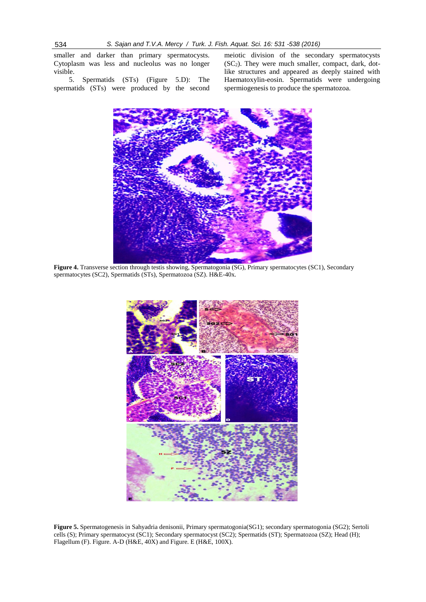smaller and darker than primary spermatocysts. Cytoplasm was less and nucleolus was no longer visible.

5. Spermatids (STs) (Figure 5.D): The spermatids (STs) were produced by the second meiotic division of the secondary spermatocysts  $(SC_2)$ . They were much smaller, compact, dark, dotlike structures and appeared as deeply stained with Haematoxylin-eosin. Spermatids were undergoing spermiogenesis to produce the spermatozoa.



**Figure 4.** Transverse section through testis showing, Spermatogonia (SG), Primary spermatocytes (SC1), Secondary spermatocytes (SC2), Spermatids (STs), Spermatozoa (SZ). H&E-40x.



**Figure 5.** Spermatogenesis in Sahyadria denisonii, Primary spermatogonia(SG1); secondary spermatogonia (SG2); Sertoli cells (S); Primary spermatocyst (SC1); Secondary spermatocyst (SC2); Spermatids (ST); Spermatozoa (SZ); Head (H); Flagellum (F). Figure. A-D (H&E, 40X) and Figure. E (H&E, 100X).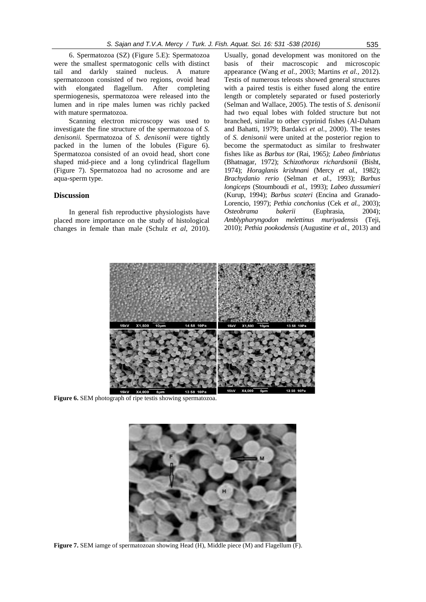6. Spermatozoa (SZ) (Figure 5.E): Spermatozoa were the smallest spermatogonic cells with distinct tail and darkly stained nucleus. A mature spermatozoon consisted of two regions, ovoid head with elongated flagellum. After completing spermiogenesis, spermatozoa were released into the lumen and in ripe males lumen was richly packed with mature spermatozoa.

Scanning electron microscopy was used to investigate the fine structure of the spermatozoa of *S. denisonii.* Spermatozoa of *S. denisonii* were tightly packed in the lumen of the lobules (Figure 6). Spermatozoa consisted of an ovoid head, short cone shaped mid-piece and a long cylindrical flagellum (Figure 7). Spermatozoa had no acrosome and are aqua-sperm type.

## **Discussion**

In general fish reproductive physiologists have placed more importance on the study of histological changes in female than male (Schulz *et al,* 2010).

Usually, gonad development was monitored on the basis of their macroscopic and microscopic appearance (Wang *et al.,* 2003; Martins *et al.,* 2012). Testis of numerous teleosts showed general structures with a paired testis is either fused along the entire length or completely separated or fused posteriorly (Selman and Wallace, 2005). The testis of *S. denisonii*  had two equal lobes with folded structure but not branched, similar to other cyprinid fishes (Al-Daham and Bahatti, 1979; Bardakci *et al.,* 2000). The testes of *S. denisonii* were united at the posterior region to become the spermatoduct as similar to freshwater fishes like as *Barbus tor* (Rai, 1965*); Labeo fimbriatus* (Bhatnagar, 1972); *Schizothorax richardsonii* (Bisht, 1974); *Horaglanis krishnani* (Mercy *et al.,* 1982); *Brachydanio rerio* (Selman *et al.,* 1993); *Barbus longiceps* (Stoumboudi *et al.,* 1993); *Labeo dussumieri* (Kurup, 1994); *Barbus scateri* (Encina and Granado-Lorencio, 1997); *Pethia conchonius* (Cek *et al.,* 2003); *Osteobrama bakerii* (Euphrasia, 2004); *Amblypharyngodon melettinus muriyadensis* (Teji, 2010); *Pethia pookodensis* (Augustine *et al.,* 2013) and



**Figure 6.** SEM photograph of ripe testis showing spermatozoa.



**Figure 7.** SEM iamge of spermatozoan showing Head (H), Middle piece (M) and Flagellum (F).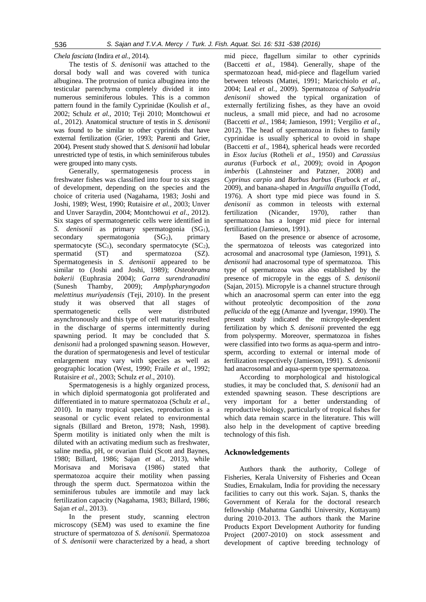*Chela fasciata* (Indira *et al.,* 2014).

The testis of *S*. *denisonii* was attached to the dorsal body wall and was covered with tunica albuginea. The protrusion of tunica albuginea into the testicular parenchyma completely divided it into numerous seminiferous lobules. This is a common pattern found in the family Cyprinidae (Koulish *et al*., 2002; Schulz *et al.,* 2010; Teji 2010; Montchowui *et al.,* 2012). Anatomical structure of testis in *S*. *denisonii*  was found to be similar to other cyprinids that have external fertilization (Grier, 1993; Parenti and Grier, 2004). Present study showed that *S. denisonii* had lobular unrestricted type of testis, in which seminiferous tubules were grouped into many cysts.

Generally, spermatogenesis process in freshwater fishes was classified into four to six stages of development, depending on the species and the choice of criteria used (Nagahama, 1983; Joshi and Joshi, 1989; West, 1990; Rutaisire *et al.,* 2003; Unver and Unver Saraydin, 2004; Montchowui *et al*., 2012). Six stages of spermatogenetic cells were identified in *S. denisonii* as primary spermatogonia (SG<sub>1</sub>),  $secondary$  spermatogonia  $(SG_2)$ , primary spermatocyte  $(SC_1)$ , secondary spermatocyte  $(SC_2)$ , spermatid (ST) and spermatozoa (SZ). Spermatogenesis in *S. denisonii* appeared to be similar to (Joshi and Joshi, 1989); *Osteobrama bakerii* (Euphrasia 2004); *Garra surendranadini* (Sunesh Thamby, 2009); *Amplypharyngodon melettinus muriyadensis* (Teji, 2010). In the present study it was observed that all stages of spermatogenetic cells were distributed asynchronously and this type of cell maturity resulted in the discharge of sperms intermittently during spawning period. It may be concluded that *S. denisonii* had a prolonged spawning season. However, the duration of spermatogenesis and level of testicular enlargement may vary with species as well as geographic location (West, 1990; Fraile *et al*., 1992; Rutaisire *et al.,* 2003; Schulz *et al*., 2010).

Spermatogenesis is a highly organized process, in which diploid spermatogonia got proliferated and differentiated in to mature spermatozoa (Schulz *et al*., 2010). In many tropical species, reproduction is a seasonal or cyclic event related to environmental signals (Billard and Breton, 1978; Nash, 1998). Sperm motility is initiated only when the milt is diluted with an activating medium such as freshwater, saline media, pH, or ovarian fluid (Scott and Baynes, 1980; Billard, 1986; Sajan *et al*., 2013), while Morisava and Morisava (1986) stated that spermatozoa acquire their motility when passing through the sperm duct. Spermatozoa within the seminiferous tubules are immotile and may lack fertilization capacity (Nagahama, 1983; Billard, 1986; Sajan *et al*., 2013).

In the present study, scanning electron microscopy (SEM) was used to examine the fine structure of spermatozoa of *S. denisonii.* Spermatozoa of *S. denisonii* were characterized by a head, a short

mid piece, flagellum similar to other cyprinids (Baccetti *et al.,* 1984). Generally, shape of the spermatozoan head, mid-piece and flagellum varied between teleosts (Mattei, 1991; Maricchiolo *et al*., 2004; Leal *et al.,* 2009). Spermatozoa *of Sahyadria denisonii* showed the typical organization of externally fertilizing fishes, as they have an ovoid nucleus, a small mid piece, and had no acrosome (Baccetti *et al*., 1984; Jamieson, 1991; Vergilio *et al*., 2012). The head of spermatozoa in fishes to family cyprinidae is usually spherical to ovoid in shape (Baccetti *et al*., 1984), spherical heads were recorded in *Esox lucius* (Rotheli *et al*., 1950) and *Carassius auratus* (Furbock *et al.,* 2009); ovoid in *Apogon imberbis* (Lahnsteiner and Patzner, 2008) and *Cyprinus carpio* and *Barbus barbus* (Furbock *et al.,* 2009), and banana-shaped in *Anguilla anguilla* (Todd, 1976). A short type mid piece was found in *S. denisonii* as common in teleosts with external fertilization (Nicander, 1970), rather than spermatozoa has a longer mid piece for internal fertilization (Jamieson, 1991).

Based on the presence or absence of acrosome, the spermatozoa of teleosts was categorized into acrosomal and anacrosomal type (Jamieson, 1991), *S. denisonii* had anacrosomal type of spermatozoa. This type of spermatozoa was also established by the presence of micropyle in the eggs of *S. denisonii* (Sajan, 2015). Micropyle is a channel structure through which an anacrosomal sperm can enter into the egg without proteolytic decomposition of the *zona pellucida* of the egg (Amanze and Iyvengar, 1990). The present study indicated the micropyle-dependent fertilization by which *S. denisonii* prevented the egg from polyspermy*.* Moreover, spermatozoa in fishes were classified into two forms as aqua-sperm and introsperm, according to external or internal mode of fertilization respectively (Jamieson, 1991). *S. denisonii* had anacrosomal and aqua-sperm type spermatozoa.

According to morphological and histological studies, it may be concluded that, *S. denisonii* had an extended spawning season. These descriptions are very important for a better understanding of reproductive biology, particularly of tropical fishes for which data remain scarce in the literature. This will also help in the development of captive breeding technology of this fish.

## **Acknowledgements**

Authors thank the authority, College of Fisheries, Kerala University of Fisheries and Ocean Studies, Ernakulam, India for providing the necessary facilities to carry out this work. Sajan. S, thanks the Government of Kerala for the doctoral research fellowship (Mahatma Gandhi University, Kottayam) during 2010-2013. The authors thank the Marine Products Export Development Authority for funding Project (2007-2010) on stock assessment and development of captive breeding technology of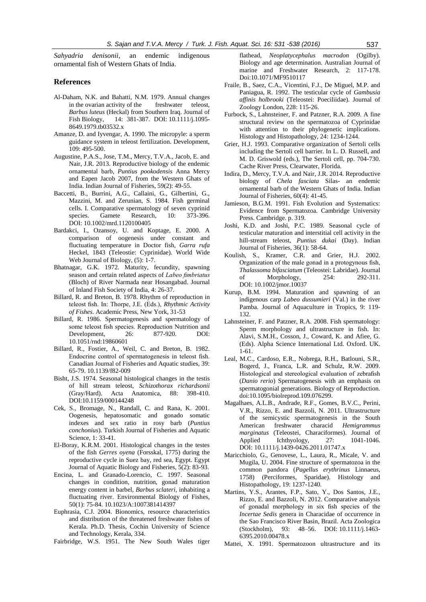*Sahyadria denisonii,* an endemic indigenous ornamental fish of Western Ghats of India.

## **References**

- Al-Daham, N.K. and Bahatti, N.M. 1979. Annual changes in the ovarian activity of the freshwater teleost, *Barbus luteus* (Heckal) from Southern Iraq. Journal of Fish Biology, 14: 381-387. DOI: 10.1111/j.1095- 8649.1979.tb03532.x
- Amanze, D. and Iyvengar, A. 1990. The micropyle: a sperm guidance system in teleost fertilization. Development, 109: 495-500.
- Augustine, P.A.S., Jose, T.M., Mercy, T.V.A., Jacob, E. and Nair, J.R*.* 2013. Reproductive biology of the endemic ornamental barb, *Puntius pookodensis* Anna Mercy and Eapen Jacob 2007, from the Western Ghats of India. Indian Journal of Fisheries, 59(2): 49-55.
- Baccetti, B., Burrini, A.G., Callaini, G., Gilbertini, G., Mazzini, M. and Zerunian, S. 1984. Fish germinal cells. I. Comparative spermatology of seven cyprinid species. Gamete Research, 10: 373-396. DOI: 10.1002/mrd.1120100405
- Bardakci, I., Ozansoy, U. and Koptage, E. 2000. A comparison of oogenesis under constant and fluctuating temperature in Doctor fish, *Garra rufa*  Heckel, 1843 (Teleostie: Cyprinidae). World Wide Web Journal of Biology, (5): 1-7.
- Bhatnagar, G.K. 1972. Maturity, fecundity, spawning season and certain related aspects of *Labeo fimbriatus* (Bloch) of River Narmada near Hosangabad. Journal of Inland Fish Society of India*,* 4: 26-37.
- Billard, R. and Breton, B. 1978. Rhythm of reproduction in teleost fish. In: Thorpe, J.E. (Eds.), *Rhythmic Activity of Fishes*. Academic Press, New York, 31-53
- Billard, R. 1986. Spermatogenesis and spermatology of some teleost fish species. Reproduction Nutrition and Development, 26: 877-920. DOI: 10.1051/rnd:19860601
- Billard, R., Fostier, A., Weil, C. and Breton, B. 1982. Endocrine control of spermatogenesis in teleost fish. Canadian Journal of Fisheries and Aquatic studies, 39: 65-79. 10.1139/f82-009
- Bisht, J.S. 1974. Seasonal histological changes in the testis of hill stream teleost, *Schizothorax richardsonii* (Gray/Hard). Acta Anatomica, 88: 398-410. DOI:10.1159/000144248
- Cek, S., Bromage, N., Randall, C. and Rana, K. 2001. Oogenesis, hepatosomatic and gonado somatic indexes and sex ratio in rosy barb (*Puntius conchonius*). Turkish Journal of Fisheries and Aquatic Science, 1: 33-41.
- El-Boray, K.R.M. 2001. Histological changes in the testes of the fish *Gerres oyena* (Forsskal, 1775) during the reproductive cycle in Suez bay, red sea, Egypt. Egypt Journal of Aquatic Biology and Fisheries, 5(2): 83-93.
- Encina, L. and Granado-Lorencio, C. 1997. Seasonal changes in condition, nutrition, gonad maturation energy content in barbel, *Barbus sclateri*, inhabiting a fluctuating river. Environmental Biology of Fishes, 50(1): 75-84. 10.1023/A:1007381414397
- Euphrasia, C.J. 2004. Bionomics, resource characteristics and distribution of the threatened freshwater fishes of Kerala. Ph.D. Thesis, Cochin University of Science and Technology, Kerala, 334.

Fairbridge, W.S. 1951. The New South Wales tiger

flathead, *Neoplatycephalus macrodon* (Ogilby). Biology and age determination. Australian Journal of marine and Freshwater Research, 2: 117-178. Doi:10.1071/MF9510117

- Fraile, B., Saez, C.A., Vicentini, F.J., De Miguel, M.P. and Paniagua, R. 1992. The testicular cycle of *Gambusia affinis holbrooki* (Teleostei: Poeciliidae). Journal of Zoology London, 228: 115-26.
- Furbock, S., Lahnsteiner, F. and Patzner, R.A. 2009. A fine structural review on the spermatozoa of Cyprinidae with attention to their phylogenetic implications. Histology and Histopathology, 24: 1234-1244.
- Grier, H.J. 1993. Comparative organization of Sertoli cells including the Sertoli cell barrier. In L. D. Russell, and M. D. Griswold (eds.), The Sertoli cell, pp. 704-730. Cache River Press, Clearwater, Florida.
- Indira, D., Mercy, T.V.A. and Nair*,* J.R. 2014. Reproductive biology of *Chela fasciata* Silas- an endemic ornamental barb of the Western Ghats of India. Indian Journal of Fisheries, 60(4): 41-45.
- Jamieson, B.G.M. 1991. Fish Evolution and Systematics: Evidence from Spermatozoa. Cambridge University Press. Cambridge. p. 319.
- Joshi, K.D. and Joshi, P.C. 1989. Seasonal cycle of testicular maturation and interstitial cell activity in the hill-stream teleost, *Puntius dukai* (Day). Indian Journal of Fisheries, 36(1): 58-64.
- Koulish, S., Kramer, C.R. and Grier, H.J. 2002. Organization of the male gonad in a protogynous fish, *Thalassoma bifasciatum* (Teleostei: Labridae). Journal of Morphology, 254: DOI: 10.1002/jmor.10037
- Kurup, B.M. 1994. Maturation and spawning of an indigenous carp *Labeo dussumieri* (Val.) in the river Pamba. Journal of Aquaculture in Tropics, 9: 119- 132.
- Lahnsteiner, F. and Patzner, R.A. 2008. Fish spermatology: Sperm morphology and ultrastructure in fish. In: Alavi, S.M.H., Cosson, J., Coward, K. and Afiee, G. (Eds). Alpha Science International Ltd. Oxford. UK. 1-61.
- Leal, M.C., Cardoso, E.R., Nobrega, R.H., Batlouni, S.R., Bogerd, J., Franca, L.R. and Schulz, R.W. 2009. Histological and stereological evaluation of zebrafish (*Danio rerio*) Spermatogenesis with an emphasis on spermatogonial generations. Biology of Reproduction. doi:10.1095/biolreprod.109.076299.
- Magalhaes, A.L.B., Andrade, R.F., Gomes, B.V.C., Perini, V.R., Rizzo, E. and Bazzoli, N. 2011. Ultrastructure of the semicystic spermatogenesis in the South American freshwater characid *Hemigrammus marginatus* (Teleostei, Characiformes). Journal of Applied Ichthyology, 27: 1041-1046. DOI: 10.1111/j.1439-0426.2011.01747.x
- Maricchiolo, G., Genovese, L., Laura, R., Micale, V. and Mugila, U. 2004. Fine structure of spermatozoa in the common pandora (*Pagellus erythrinus* Linnaeus, 1758) (Perciformes, Sparidae). Histology and Histopathology, 19: 1237-1240.
- Martins, Y.S., Arantes, F.P., Sato, Y., Dos Santos, J.E., Rizzo, E. and Bazzoli, N. 2012. Comparative analysis of gonadal morphology in six fish species of the *Incertae Sedis* genera in Characidae of occurrence in the Sao Francisco River Basin, Brazil. Acta Zoologica (Stockholm), 93: 48–56. DOI: 10.1111/j.1463- 6395.2010.00478.x
- Mattei, X. 1991. Spermatozoon ultrastructure and its